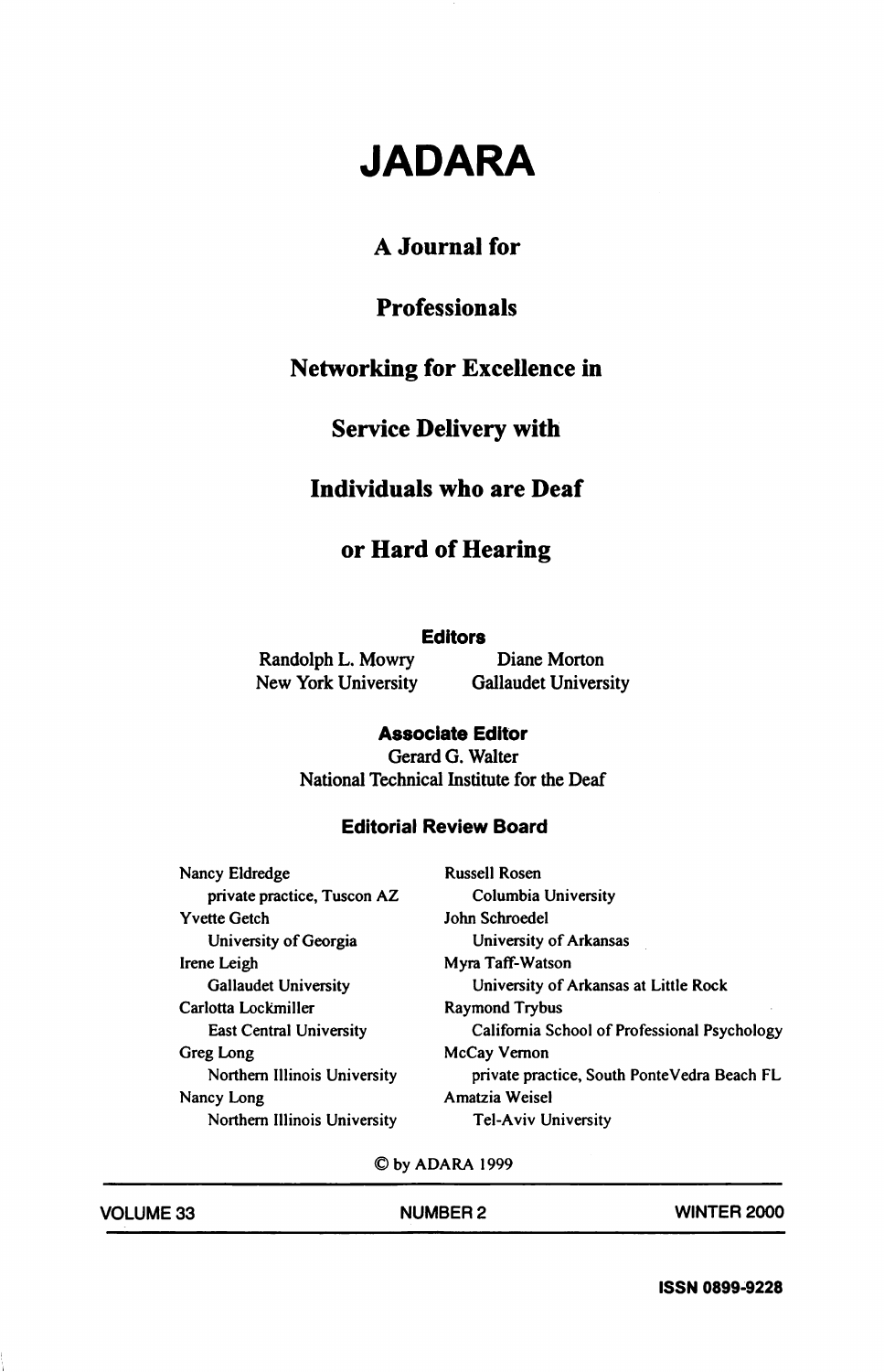# JADARA

# A Journal for

# Professionals

# Networking for Excellence in

# Service Delivery with

### Individuals who are Deaf

# or Hard of Hearing

#### **Editors**

Randolph L. Mowry Diane Morton

New York University Gallaudet University

#### Associate Editor

Gerard G. Walter National Technical Institute for the Deaf

### Editorial Review Board

| Nancy Eldredge               | <b>Russell Rosen</b>                         |
|------------------------------|----------------------------------------------|
| private practice, Tuscon AZ  | Columbia University                          |
| Yvette Getch                 | John Schroedel                               |
| University of Georgia        | University of Arkansas                       |
| Irene Leigh                  | Myra Taff-Watson                             |
| <b>Gallaudet University</b>  | University of Arkansas at Little Rock        |
| Carlotta Lockmiller          | <b>Raymond Trybus</b>                        |
| East Central University      | California School of Professional Psychology |
| Greg Long                    | McCay Vernon                                 |
| Northern Illinois University | private practice, South PonteVedra Beach FL  |
| Nancy Long                   | Amatzia Weisel                               |
| Northern Illinois University | <b>Tel-Aviv University</b>                   |

©by ADARA 1999

| <b>VOLUME 33</b> | <b>NUMBER 2</b> | <b>WINTER 2000</b> |
|------------------|-----------------|--------------------|
|                  |                 |                    |